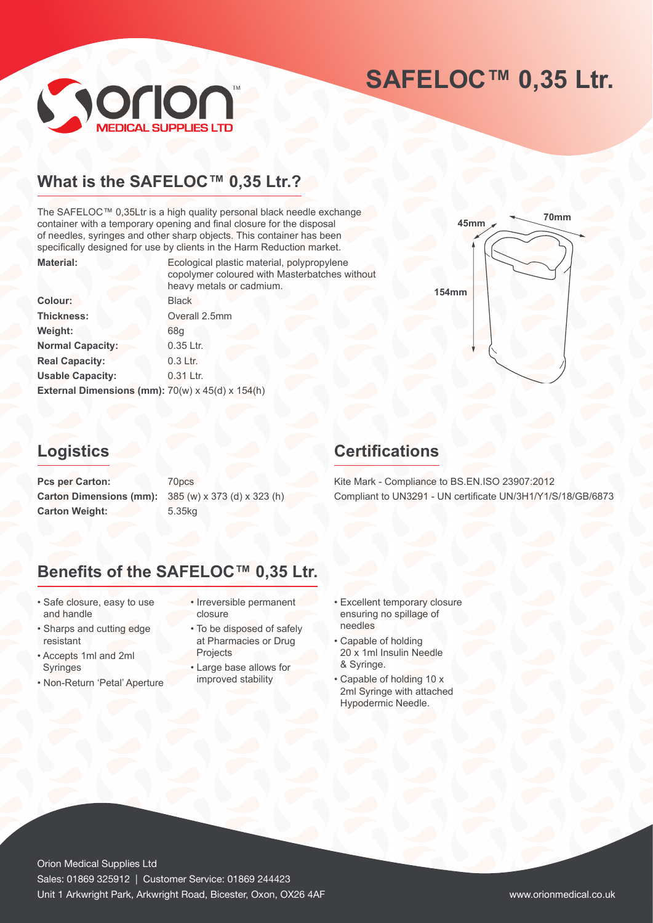# **SAFELOC™ 0,35 Ltr.**



## What is the SAFELOC<sup>™</sup> 0,35 Ltr.?

The SAFELOC™ 0,35Ltr is a high quality personal black needle exchange container with a temporary opening and final closure for the disposal of needles, syringes and other sharp objects. This container has been specifically designed for use by clients in the Harm Reduction market. **Material:** Ecological plastic material, polypropylene

|                                                  | copolymer coloured with Masterbatches without<br>heavy metals or cadmium. |
|--------------------------------------------------|---------------------------------------------------------------------------|
| <b>Colour:</b>                                   | <b>Black</b>                                                              |
| Thickness:                                       | Overall 2.5mm                                                             |
| Weight:                                          | 68q                                                                       |
| <b>Normal Capacity:</b>                          | 0.35 Ltr.                                                                 |
| <b>Real Capacity:</b>                            | $0.3$ Ltr.                                                                |
| <b>Usable Capacity:</b>                          | $0.31$ Ltr.                                                               |
| External Dimensions (mm): 70(w) x 45(d) x 154(h) |                                                                           |



## **Logistics**

Pcs per Carton: 70pcs **Carton Dimensions (mm):** 385 (w) x 373 (d) x 323 (h) Carton Weight: 5.35kg

## **Certifications**

Kite Mark - Compliance to BS.EN.ISO 23907:2012 Compliant to UN3291 - UN certificate UN/3H1/Y1/S/18/GB/6873

## **Benefits of the SAFELOC™ 0,35 Ltr.**

- Safe closure, easy to use and handle
- Sharps and cutting edge resistant
- Accepts 1ml and 2ml Syringes
- Non-Return 'Petal' Aperture
- Irreversible permanent closure
- To be disposed of safely at Pharmacies or Drug **Projects**
- Large base allows for improved stability
- Excellent temporary closure ensuring no spillage of needles
- Capable of holding 20 x 1ml Insulin Needle & Syringe.
- Capable of holding 10 x 2ml Syringe with attached Hypodermic Needle.

Orion Medical Supplies Ltd Sales: 01869 325912 | Customer Service: 01869 244423 Unit 1 Arkwright Park, Arkwright Road, Bicester, Oxon, OX26 4AF